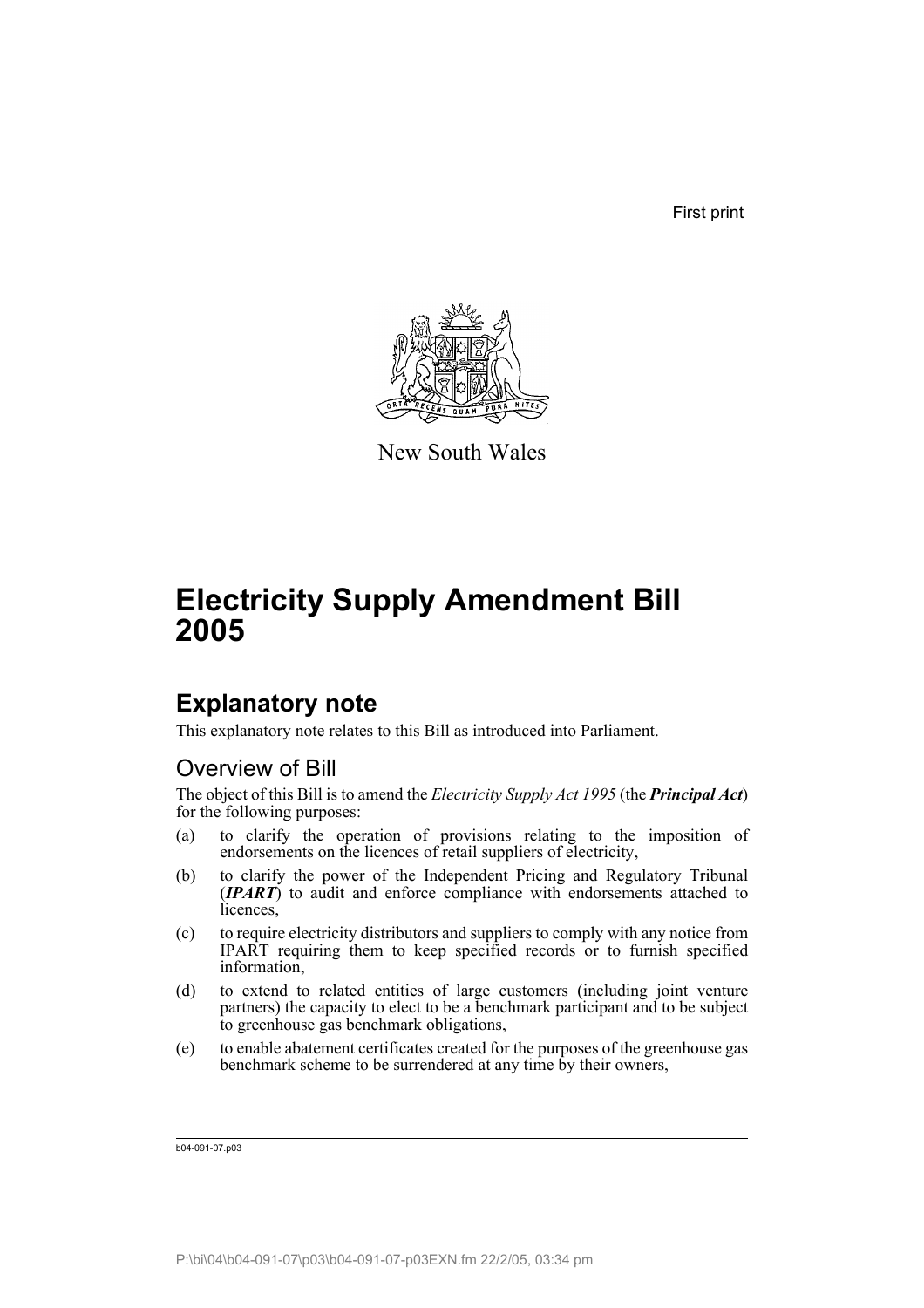First print



New South Wales

# **Electricity Supply Amendment Bill 2005**

## **Explanatory note**

This explanatory note relates to this Bill as introduced into Parliament.

## Overview of Bill

The object of this Bill is to amend the *Electricity Supply Act 1995* (the *Principal Act*) for the following purposes:

- (a) to clarify the operation of provisions relating to the imposition of endorsements on the licences of retail suppliers of electricity,
- (b) to clarify the power of the Independent Pricing and Regulatory Tribunal (*IPART*) to audit and enforce compliance with endorsements attached to licences,
- (c) to require electricity distributors and suppliers to comply with any notice from IPART requiring them to keep specified records or to furnish specified information,
- (d) to extend to related entities of large customers (including joint venture partners) the capacity to elect to be a benchmark participant and to be subject to greenhouse gas benchmark obligations,
- (e) to enable abatement certificates created for the purposes of the greenhouse gas benchmark scheme to be surrendered at any time by their owners,

b04-091-07.p03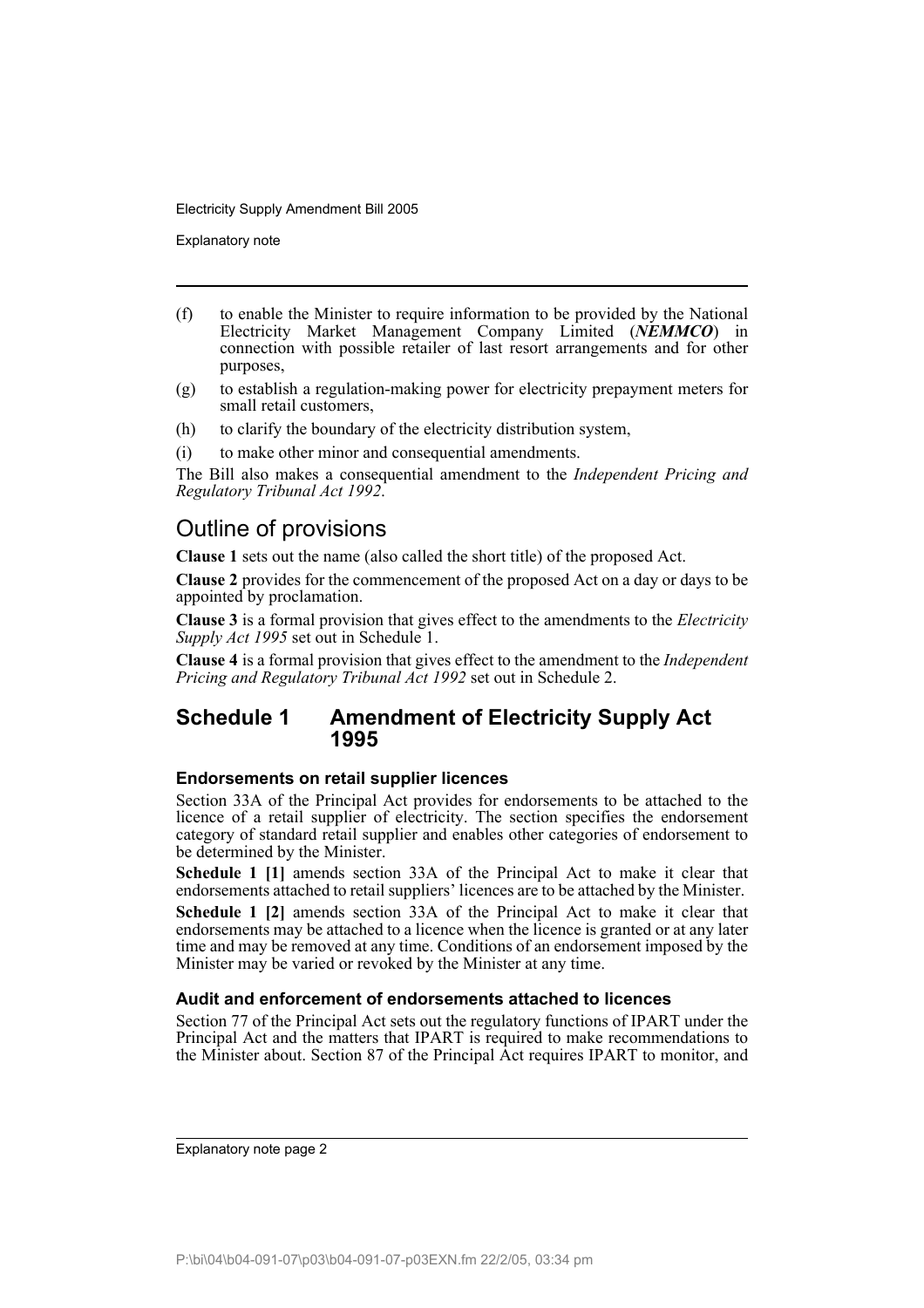Explanatory note

- (f) to enable the Minister to require information to be provided by the National Electricity Market Management Company Limited (*NEMMCO*) in connection with possible retailer of last resort arrangements and for other purposes,
- (g) to establish a regulation-making power for electricity prepayment meters for small retail customers,
- (h) to clarify the boundary of the electricity distribution system,
- (i) to make other minor and consequential amendments.

The Bill also makes a consequential amendment to the *Independent Pricing and Regulatory Tribunal Act 1992*.

## Outline of provisions

**Clause 1** sets out the name (also called the short title) of the proposed Act.

**Clause 2** provides for the commencement of the proposed Act on a day or days to be appointed by proclamation.

**Clause 3** is a formal provision that gives effect to the amendments to the *Electricity Supply Act 1995* set out in Schedule 1.

**Clause 4** is a formal provision that gives effect to the amendment to the *Independent Pricing and Regulatory Tribunal Act 1992* set out in Schedule 2.

### **Schedule 1 Amendment of Electricity Supply Act 1995**

#### **Endorsements on retail supplier licences**

Section 33A of the Principal Act provides for endorsements to be attached to the licence of a retail supplier of electricity. The section specifies the endorsement category of standard retail supplier and enables other categories of endorsement to be determined by the Minister.

**Schedule 1 [1]** amends section 33A of the Principal Act to make it clear that endorsements attached to retail suppliers' licences are to be attached by the Minister.

**Schedule 1 [2]** amends section 33A of the Principal Act to make it clear that endorsements may be attached to a licence when the licence is granted or at any later time and may be removed at any time. Conditions of an endorsement imposed by the Minister may be varied or revoked by the Minister at any time.

#### **Audit and enforcement of endorsements attached to licences**

Section 77 of the Principal Act sets out the regulatory functions of IPART under the Principal Act and the matters that IPART is required to make recommendations to the Minister about. Section 87 of the Principal Act requires IPART to monitor, and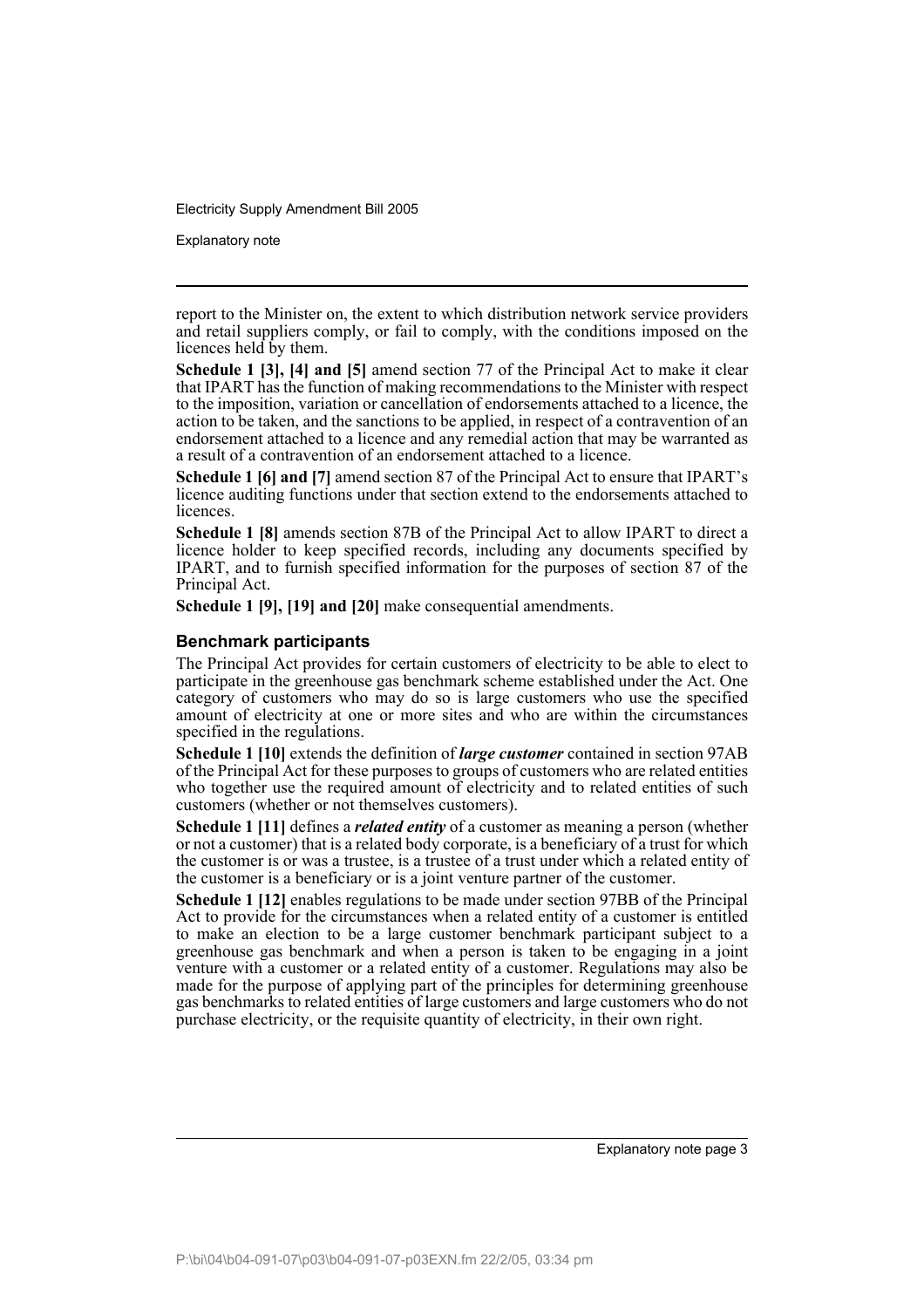Explanatory note

report to the Minister on, the extent to which distribution network service providers and retail suppliers comply, or fail to comply, with the conditions imposed on the licences held by them.

**Schedule 1 [3], [4] and [5]** amend section 77 of the Principal Act to make it clear that IPART has the function of making recommendations to the Minister with respect to the imposition, variation or cancellation of endorsements attached to a licence, the action to be taken, and the sanctions to be applied, in respect of a contravention of an endorsement attached to a licence and any remedial action that may be warranted as a result of a contravention of an endorsement attached to a licence.

**Schedule 1 [6] and [7]** amend section 87 of the Principal Act to ensure that IPART's licence auditing functions under that section extend to the endorsements attached to licences.

**Schedule 1 [8]** amends section 87B of the Principal Act to allow IPART to direct a licence holder to keep specified records, including any documents specified by IPART, and to furnish specified information for the purposes of section 87 of the Principal Act.

**Schedule 1 [9], [19] and [20]** make consequential amendments.

#### **Benchmark participants**

The Principal Act provides for certain customers of electricity to be able to elect to participate in the greenhouse gas benchmark scheme established under the Act. One category of customers who may do so is large customers who use the specified amount of electricity at one or more sites and who are within the circumstances specified in the regulations.

**Schedule 1 [10]** extends the definition of *large customer* contained in section 97AB of the Principal Act for these purposes to groups of customers who are related entities who together use the required amount of electricity and to related entities of such customers (whether or not themselves customers).

**Schedule 1 [11]** defines a *related entity* of a customer as meaning a person (whether or not a customer) that is a related body corporate, is a beneficiary of a trust for which the customer is or was a trustee, is a trustee of a trust under which a related entity of the customer is a beneficiary or is a joint venture partner of the customer.

**Schedule 1 [12]** enables regulations to be made under section 97BB of the Principal Act to provide for the circumstances when a related entity of a customer is entitled to make an election to be a large customer benchmark participant subject to a greenhouse gas benchmark and when a person is taken to be engaging in a joint venture with a customer or a related entity of a customer. Regulations may also be made for the purpose of applying part of the principles for determining greenhouse gas benchmarks to related entities of large customers and large customers who do not purchase electricity, or the requisite quantity of electricity, in their own right.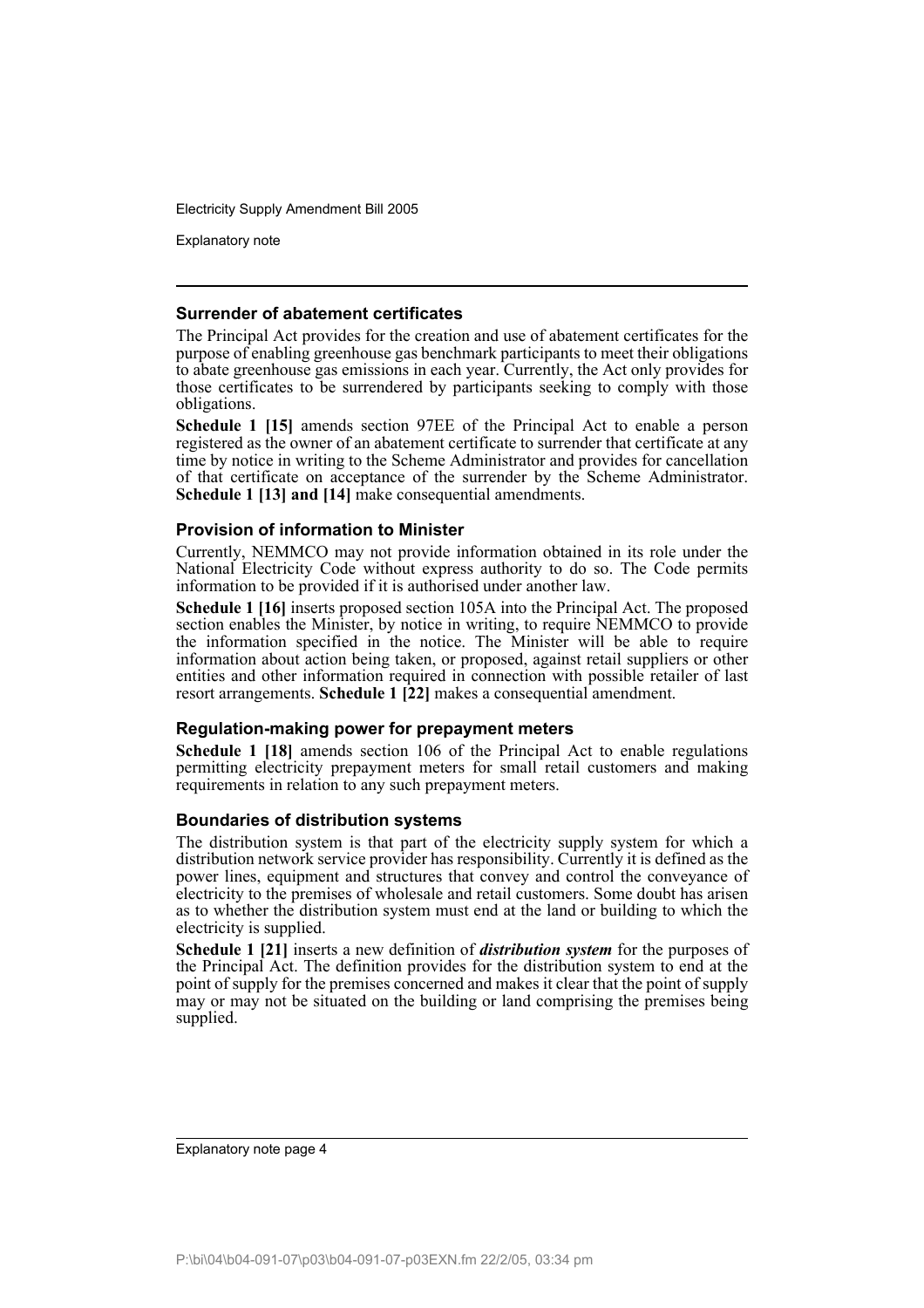Explanatory note

#### **Surrender of abatement certificates**

The Principal Act provides for the creation and use of abatement certificates for the purpose of enabling greenhouse gas benchmark participants to meet their obligations to abate greenhouse gas emissions in each year. Currently, the Act only provides for those certificates to be surrendered by participants seeking to comply with those obligations.

**Schedule 1 [15]** amends section 97EE of the Principal Act to enable a person registered as the owner of an abatement certificate to surrender that certificate at any time by notice in writing to the Scheme Administrator and provides for cancellation of that certificate on acceptance of the surrender by the Scheme Administrator. **Schedule 1 [13] and [14]** make consequential amendments.

#### **Provision of information to Minister**

Currently, NEMMCO may not provide information obtained in its role under the National Electricity Code without express authority to do so. The Code permits information to be provided if it is authorised under another law.

**Schedule 1 [16]** inserts proposed section 105A into the Principal Act. The proposed section enables the Minister, by notice in writing, to require NEMMCO to provide the information specified in the notice. The Minister will be able to require information about action being taken, or proposed, against retail suppliers or other entities and other information required in connection with possible retailer of last resort arrangements. **Schedule 1 [22]** makes a consequential amendment.

#### **Regulation-making power for prepayment meters**

**Schedule 1 [18]** amends section 106 of the Principal Act to enable regulations permitting electricity prepayment meters for small retail customers and making requirements in relation to any such prepayment meters.

#### **Boundaries of distribution systems**

The distribution system is that part of the electricity supply system for which a distribution network service provider has responsibility. Currently it is defined as the power lines, equipment and structures that convey and control the conveyance of electricity to the premises of wholesale and retail customers. Some doubt has arisen as to whether the distribution system must end at the land or building to which the electricity is supplied.

**Schedule 1 [21]** inserts a new definition of *distribution system* for the purposes of the Principal Act. The definition provides for the distribution system to end at the point of supply for the premises concerned and makes it clear that the point of supply may or may not be situated on the building or land comprising the premises being supplied.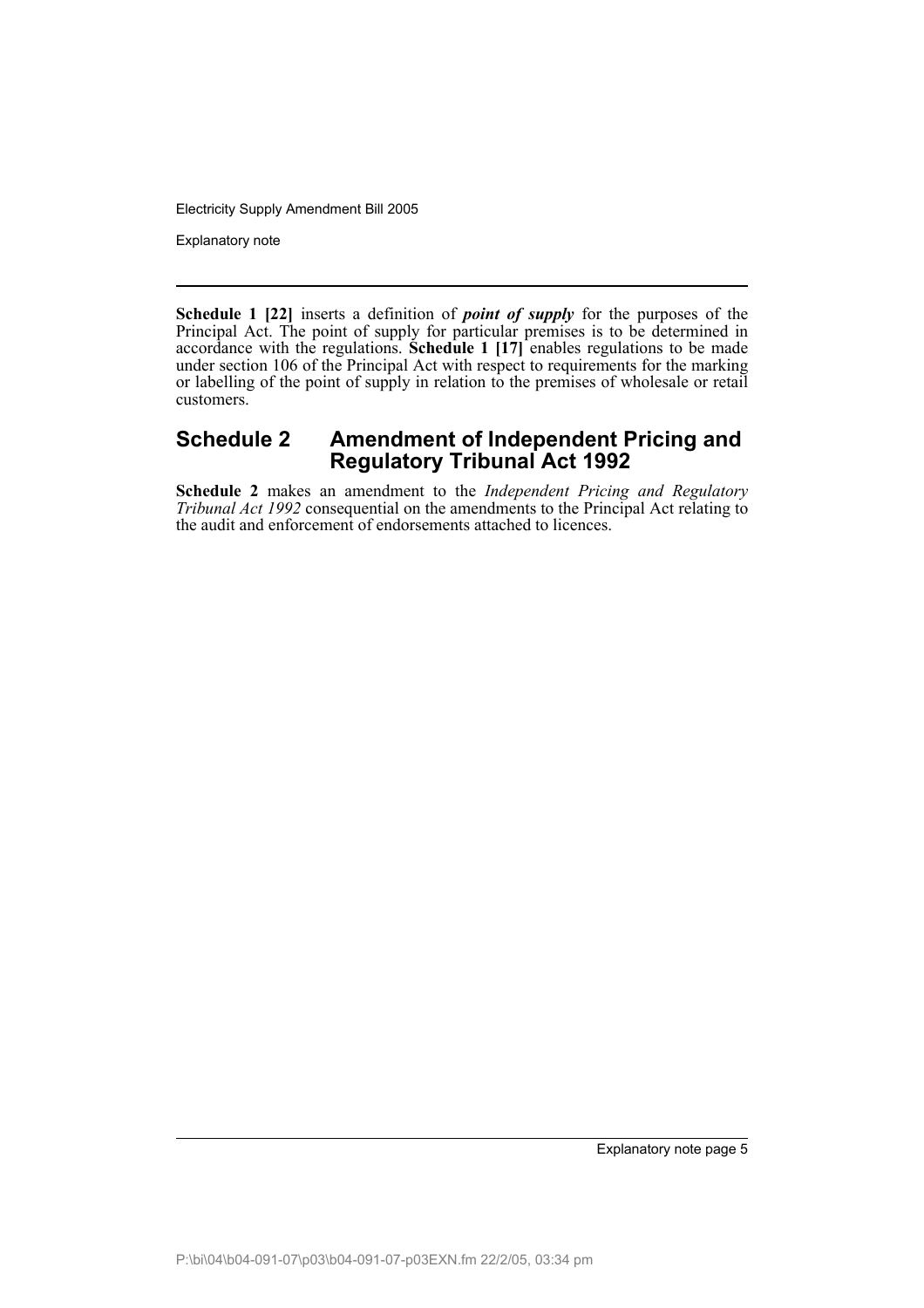Explanatory note

**Schedule 1 [22]** inserts a definition of *point of supply* for the purposes of the Principal Act. The point of supply for particular premises is to be determined in accordance with the regulations. **Schedule 1 [17]** enables regulations to be made under section 106 of the Principal Act with respect to requirements for the marking or labelling of the point of supply in relation to the premises of wholesale or retail customers.

## **Schedule 2 Amendment of Independent Pricing and Regulatory Tribunal Act 1992**

**Schedule 2** makes an amendment to the *Independent Pricing and Regulatory Tribunal Act 1992* consequential on the amendments to the Principal Act relating to the audit and enforcement of endorsements attached to licences.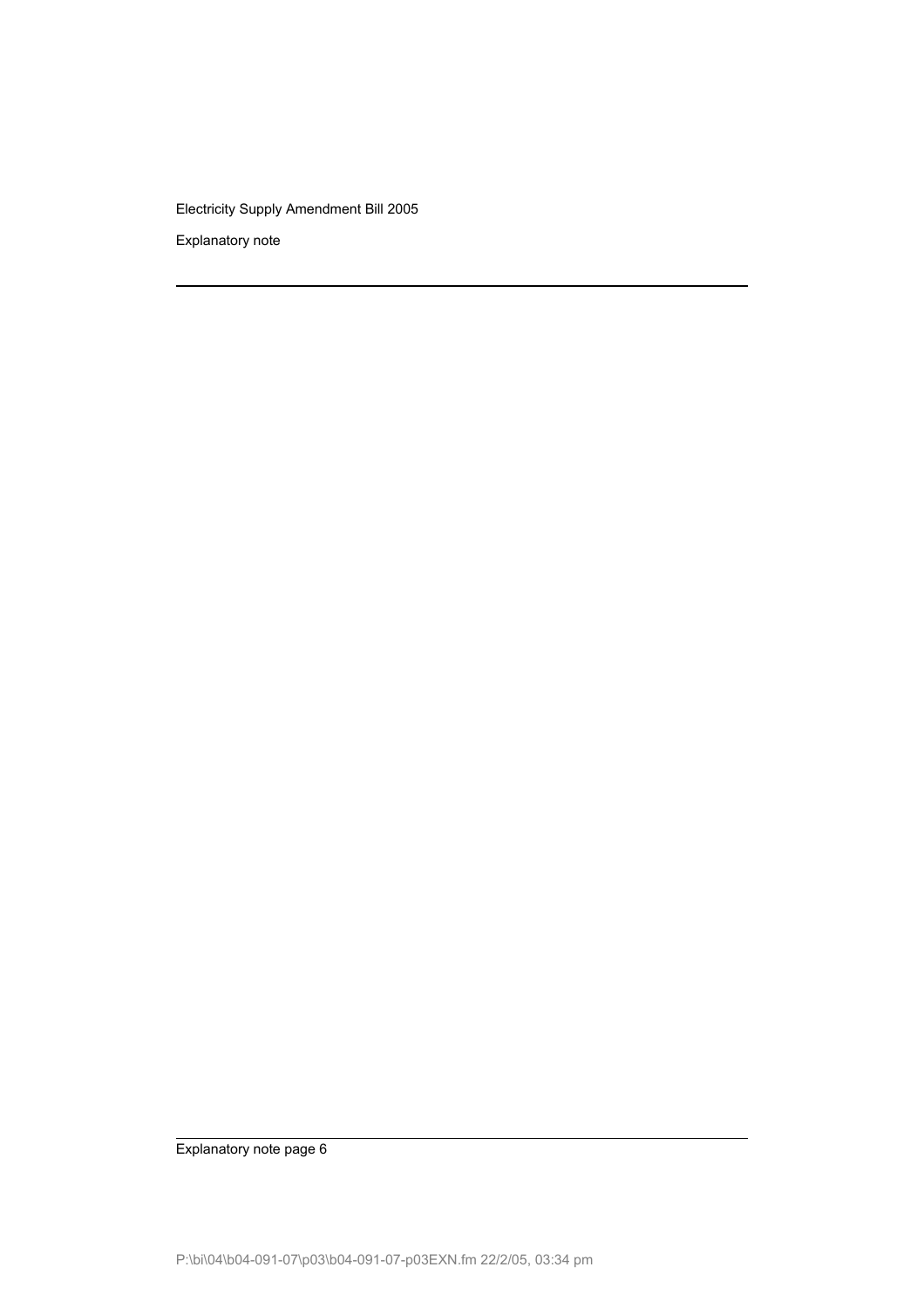Explanatory note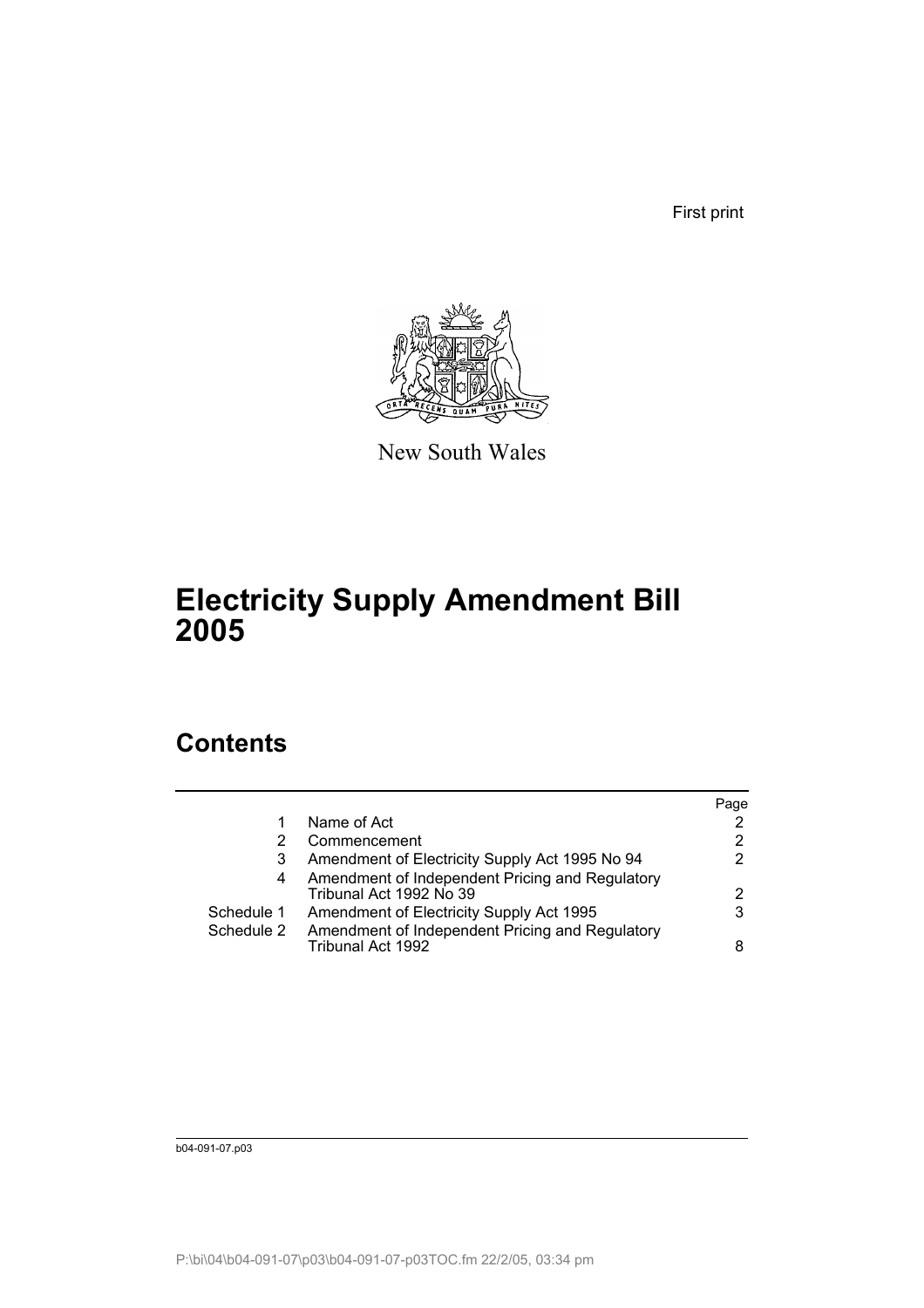First print



New South Wales

# **Electricity Supply Amendment Bill 2005**

## **Contents**

|            |                                                 | Page           |
|------------|-------------------------------------------------|----------------|
| 1          | Name of Act                                     | $\overline{2}$ |
|            | Commencement                                    | 2              |
| 3          | Amendment of Electricity Supply Act 1995 No 94  | 2              |
| 4          | Amendment of Independent Pricing and Regulatory |                |
|            | Tribunal Act 1992 No 39                         | 2              |
| Schedule 1 | Amendment of Electricity Supply Act 1995        | 3              |
| Schedule 2 | Amendment of Independent Pricing and Regulatory |                |
|            | Tribunal Act 1992                               | 8              |
|            |                                                 |                |

b04-091-07.p03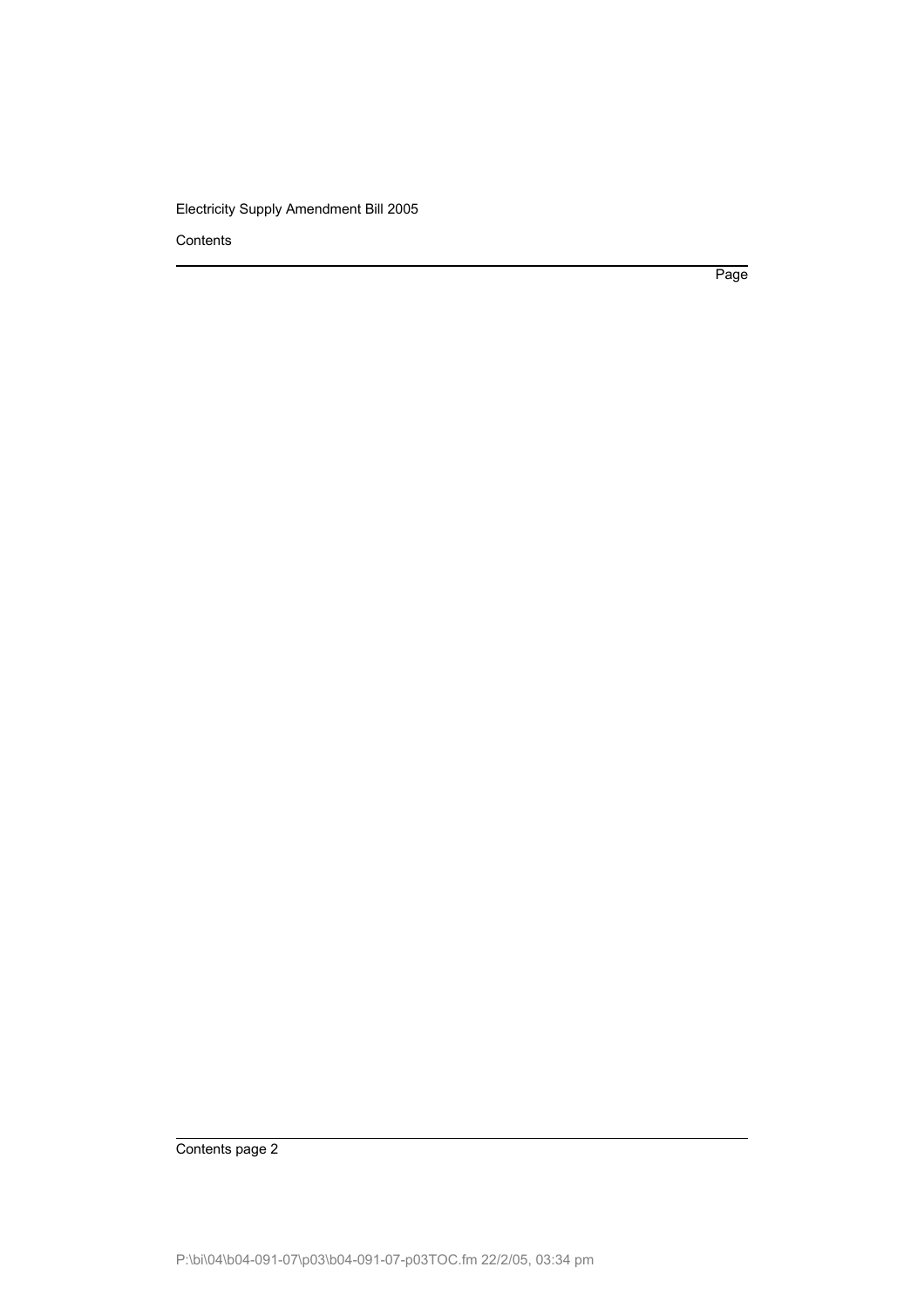**Contents** 

Page

Contents page 2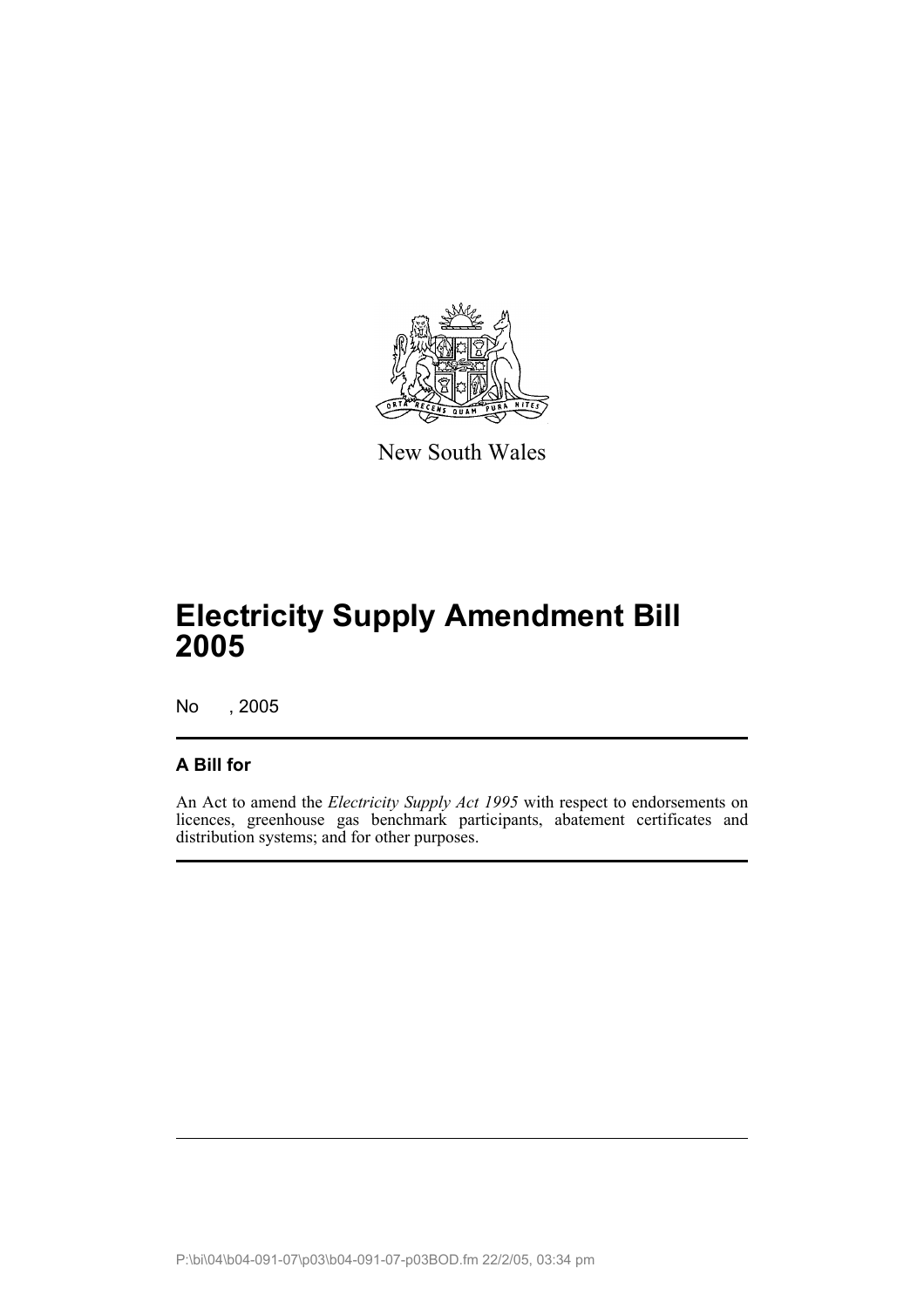

New South Wales

# **Electricity Supply Amendment Bill 2005**

No , 2005

### **A Bill for**

An Act to amend the *Electricity Supply Act 1995* with respect to endorsements on licences, greenhouse gas benchmark participants, abatement certificates and distribution systems; and for other purposes.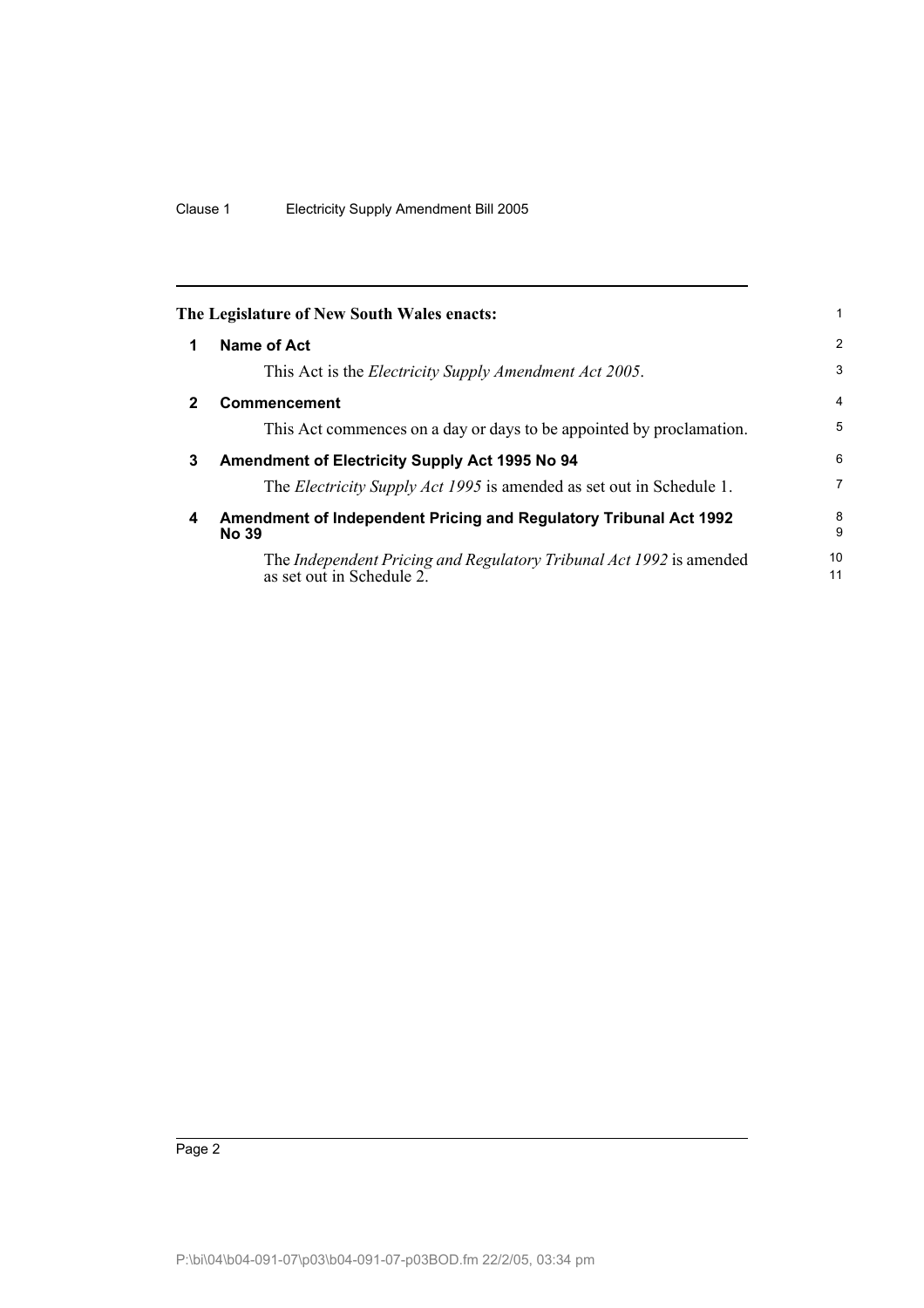|              | The Legislature of New South Wales enacts:                                                       |                |
|--------------|--------------------------------------------------------------------------------------------------|----------------|
| 1            | <b>Name of Act</b>                                                                               | $\overline{2}$ |
|              | This Act is the <i>Electricity Supply Amendment Act 2005</i> .                                   | 3              |
| $\mathbf{2}$ | Commencement                                                                                     | 4              |
|              | This Act commences on a day or days to be appointed by proclamation.                             | 5              |
| 3            | Amendment of Electricity Supply Act 1995 No 94                                                   | 6              |
|              | The <i>Electricity Supply Act 1995</i> is amended as set out in Schedule 1.                      | 7              |
| 4            | <b>Amendment of Independent Pricing and Regulatory Tribunal Act 1992</b><br><b>No 39</b>         | 8<br>9         |
|              | The Independent Pricing and Regulatory Tribunal Act 1992 is amended<br>as set out in Schedule 2. | 10<br>11       |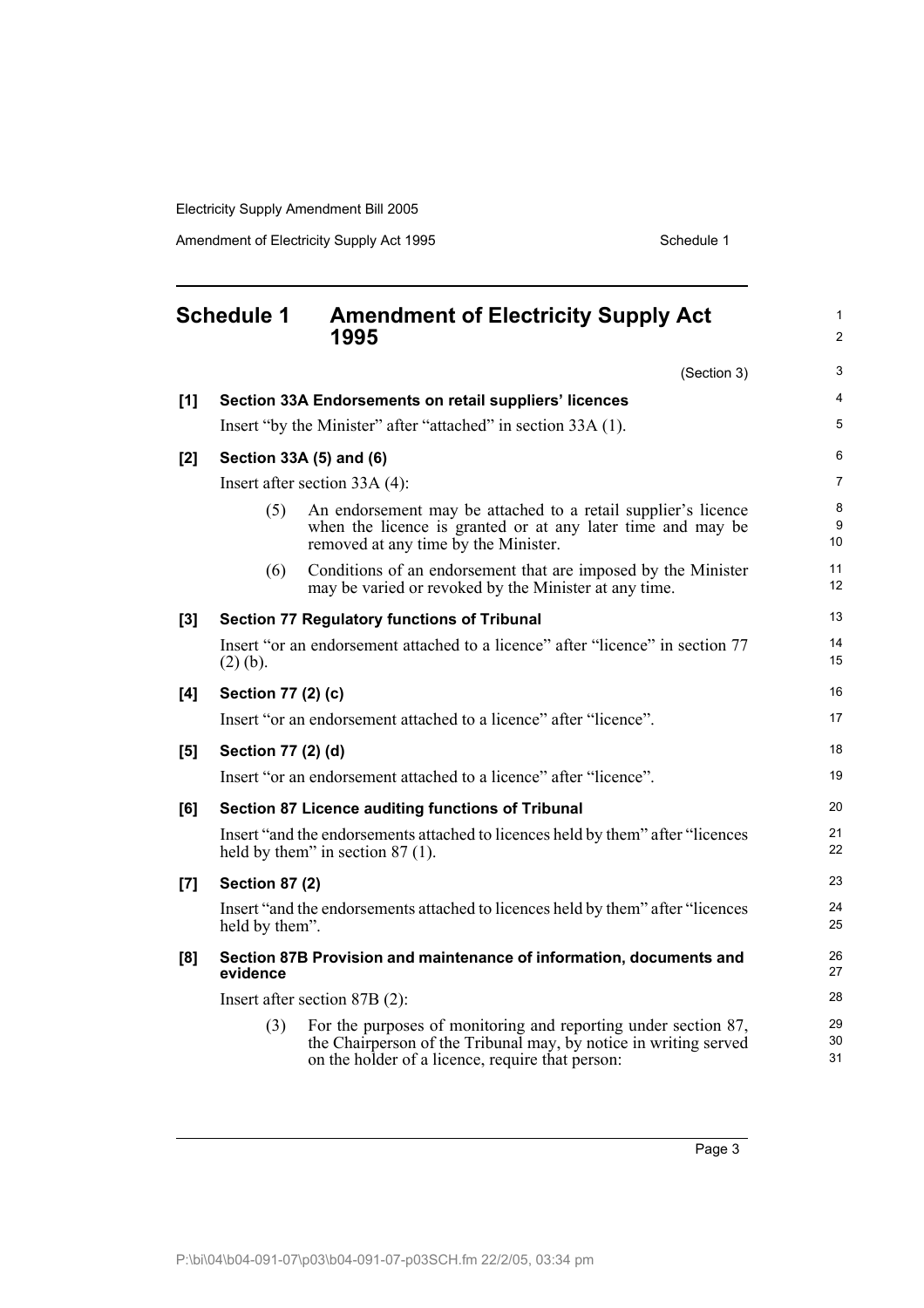Amendment of Electricity Supply Act 1995 Schedule 1

|       | <b>Schedule 1</b>                                                                                 | <b>Amendment of Electricity Supply Act</b><br>1995                                                                                                                                     | $\mathbf{1}$<br>$\overline{c}$ |  |  |  |
|-------|---------------------------------------------------------------------------------------------------|----------------------------------------------------------------------------------------------------------------------------------------------------------------------------------------|--------------------------------|--|--|--|
|       |                                                                                                   | (Section 3)                                                                                                                                                                            | 3                              |  |  |  |
| [1]   |                                                                                                   | Section 33A Endorsements on retail suppliers' licences                                                                                                                                 | $\overline{4}$                 |  |  |  |
|       |                                                                                                   | Insert "by the Minister" after "attached" in section 33A (1).                                                                                                                          | 5                              |  |  |  |
| [2]   |                                                                                                   | Section 33A (5) and (6)                                                                                                                                                                | 6                              |  |  |  |
|       |                                                                                                   | Insert after section $33A(4)$ :                                                                                                                                                        | $\overline{7}$                 |  |  |  |
|       | (5)                                                                                               | An endorsement may be attached to a retail supplier's licence<br>when the licence is granted or at any later time and may be<br>removed at any time by the Minister.                   | 8<br>9<br>10                   |  |  |  |
|       | (6)                                                                                               | Conditions of an endorsement that are imposed by the Minister<br>may be varied or revoked by the Minister at any time.                                                                 | 11<br>12                       |  |  |  |
| [3]   |                                                                                                   | <b>Section 77 Regulatory functions of Tribunal</b>                                                                                                                                     | 13                             |  |  |  |
|       | $(2)$ (b).                                                                                        | Insert "or an endorsement attached to a licence" after "licence" in section 77                                                                                                         | 14<br>15                       |  |  |  |
| [4]   | Section 77 (2) (c)                                                                                |                                                                                                                                                                                        | 16                             |  |  |  |
|       |                                                                                                   | Insert "or an endorsement attached to a licence" after "licence".                                                                                                                      | 17                             |  |  |  |
| [5]   | Section 77 (2) (d)                                                                                |                                                                                                                                                                                        |                                |  |  |  |
|       |                                                                                                   | Insert "or an endorsement attached to a licence" after "licence".                                                                                                                      | 19                             |  |  |  |
| [6]   | Section 87 Licence auditing functions of Tribunal                                                 |                                                                                                                                                                                        |                                |  |  |  |
|       |                                                                                                   | Insert "and the endorsements attached to licences held by them" after "licences<br>held by them" in section $87(1)$ .                                                                  | 21<br>22                       |  |  |  |
| $[7]$ | <b>Section 87 (2)</b>                                                                             |                                                                                                                                                                                        | 23                             |  |  |  |
|       | Insert "and the endorsements attached to licences held by them" after "licences<br>held by them". |                                                                                                                                                                                        |                                |  |  |  |
| [8]   | Section 87B Provision and maintenance of information, documents and<br>evidence                   |                                                                                                                                                                                        |                                |  |  |  |
|       |                                                                                                   | Insert after section $87B(2)$ :                                                                                                                                                        | 28                             |  |  |  |
|       | (3)                                                                                               | For the purposes of monitoring and reporting under section 87,<br>the Chairperson of the Tribunal may, by notice in writing served<br>on the holder of a licence, require that person: | 29<br>30<br>31                 |  |  |  |

Page 3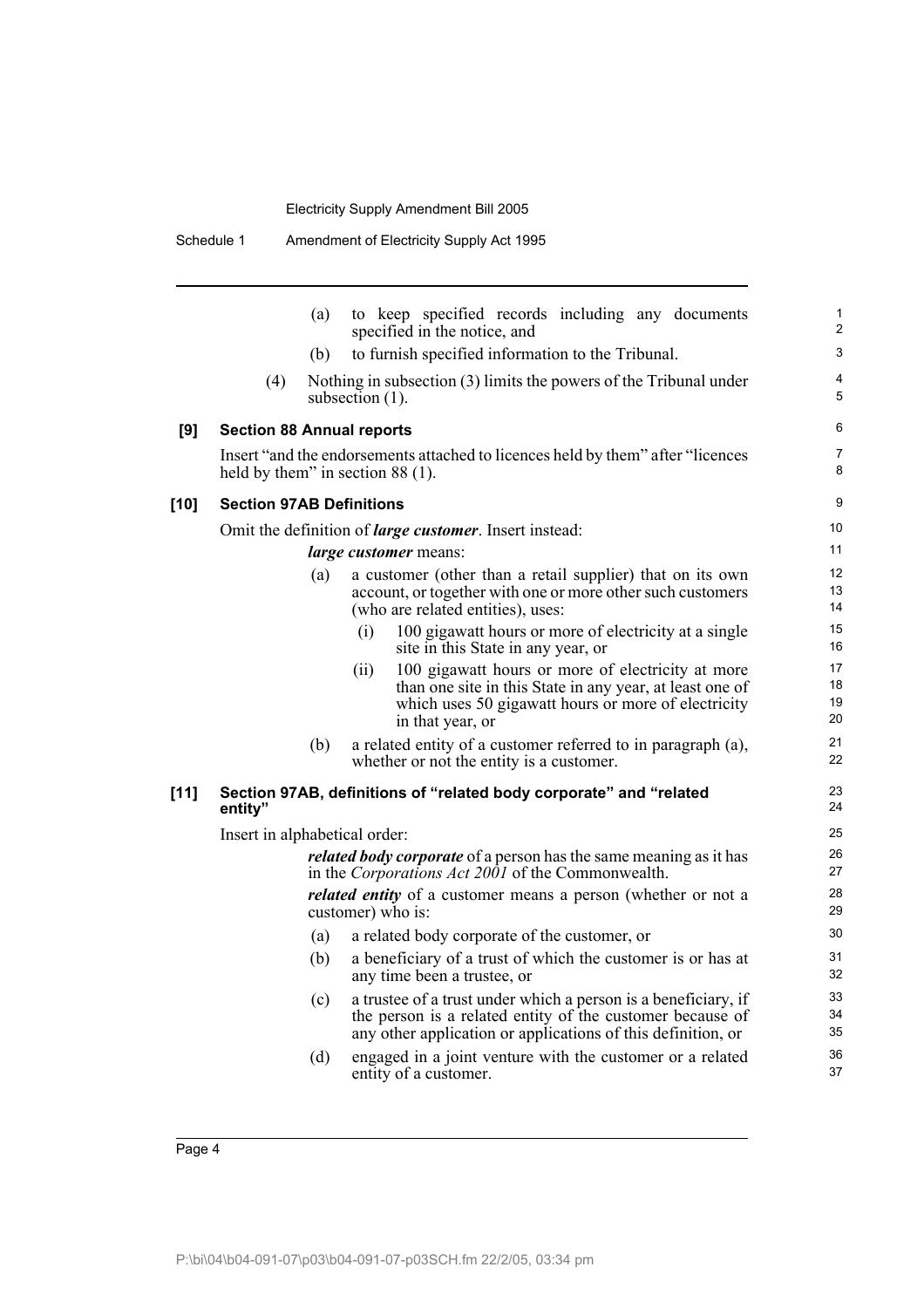|        |                                                                                                                               | (a)                                                                                       | to keep specified records including any documents<br>specified in the notice, and                                                                                                                |  |  |  |  |
|--------|-------------------------------------------------------------------------------------------------------------------------------|-------------------------------------------------------------------------------------------|--------------------------------------------------------------------------------------------------------------------------------------------------------------------------------------------------|--|--|--|--|
|        |                                                                                                                               | (b)                                                                                       | to furnish specified information to the Tribunal.                                                                                                                                                |  |  |  |  |
|        | (4)                                                                                                                           |                                                                                           | Nothing in subsection $(3)$ limits the powers of the Tribunal under<br>subsection $(1)$ .                                                                                                        |  |  |  |  |
| [9]    | <b>Section 88 Annual reports</b>                                                                                              |                                                                                           |                                                                                                                                                                                                  |  |  |  |  |
|        |                                                                                                                               |                                                                                           | Insert "and the endorsements attached to licences held by them" after "licences<br>held by them" in section $88(1)$ .                                                                            |  |  |  |  |
| $[10]$ | <b>Section 97AB Definitions</b>                                                                                               |                                                                                           |                                                                                                                                                                                                  |  |  |  |  |
|        |                                                                                                                               |                                                                                           | Omit the definition of <i>large customer</i> . Insert instead:                                                                                                                                   |  |  |  |  |
|        |                                                                                                                               |                                                                                           | large customer means:                                                                                                                                                                            |  |  |  |  |
|        |                                                                                                                               | (a)                                                                                       | a customer (other than a retail supplier) that on its own<br>account, or together with one or more other such customers<br>(who are related entities), uses:                                     |  |  |  |  |
|        |                                                                                                                               |                                                                                           | 100 gigawatt hours or more of electricity at a single<br>(i)<br>site in this State in any year, or                                                                                               |  |  |  |  |
|        |                                                                                                                               |                                                                                           | 100 gigawatt hours or more of electricity at more<br>(ii)<br>than one site in this State in any year, at least one of<br>which uses 50 gigawatt hours or more of electricity<br>in that year, or |  |  |  |  |
|        |                                                                                                                               | (b)                                                                                       | a related entity of a customer referred to in paragraph (a),<br>whether or not the entity is a customer.                                                                                         |  |  |  |  |
| $[11]$ | entity"                                                                                                                       |                                                                                           | Section 97AB, definitions of "related body corporate" and "related                                                                                                                               |  |  |  |  |
|        | Insert in alphabetical order:                                                                                                 |                                                                                           |                                                                                                                                                                                                  |  |  |  |  |
|        | <i>related body corporate</i> of a person has the same meaning as it has<br>in the Corporations Act 2001 of the Commonwealth. |                                                                                           |                                                                                                                                                                                                  |  |  |  |  |
|        |                                                                                                                               | <i>related entity</i> of a customer means a person (whether or not a<br>customer) who is: |                                                                                                                                                                                                  |  |  |  |  |
|        |                                                                                                                               | (a)                                                                                       | a related body corporate of the customer, or                                                                                                                                                     |  |  |  |  |
|        |                                                                                                                               | (b)                                                                                       | a beneficiary of a trust of which the customer is or has at<br>any time been a trustee, or                                                                                                       |  |  |  |  |
|        |                                                                                                                               | (c)                                                                                       | a trustee of a trust under which a person is a beneficiary, if<br>the person is a related entity of the customer because of<br>any other application or applications of this definition, or      |  |  |  |  |
|        |                                                                                                                               | (d)                                                                                       | engaged in a joint venture with the customer or a related<br>entity of a customer.                                                                                                               |  |  |  |  |
|        |                                                                                                                               |                                                                                           |                                                                                                                                                                                                  |  |  |  |  |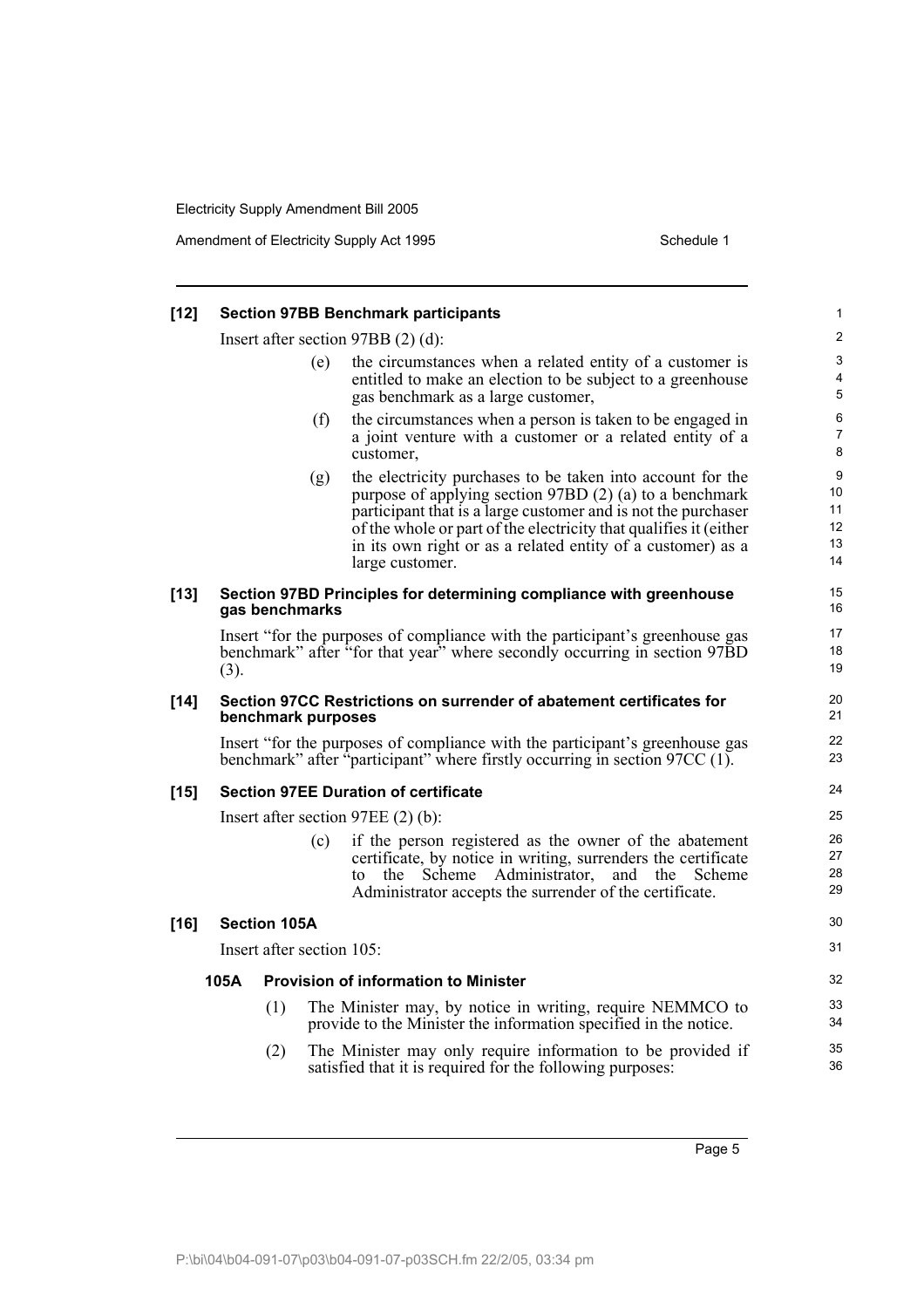Amendment of Electricity Supply Act 1995 Schedule 1

| $[12]$ | <b>Section 97BB Benchmark participants</b>                                                                                                                  |                                             |     |                                                                                                                                                                                 |                     |  |  |
|--------|-------------------------------------------------------------------------------------------------------------------------------------------------------------|---------------------------------------------|-----|---------------------------------------------------------------------------------------------------------------------------------------------------------------------------------|---------------------|--|--|
|        | Insert after section $97BB(2)(d)$ :                                                                                                                         |                                             |     |                                                                                                                                                                                 |                     |  |  |
|        |                                                                                                                                                             |                                             | (e) | the circumstances when a related entity of a customer is                                                                                                                        | 3                   |  |  |
|        |                                                                                                                                                             |                                             |     | entitled to make an election to be subject to a greenhouse<br>gas benchmark as a large customer,                                                                                | 4<br>5              |  |  |
|        |                                                                                                                                                             |                                             | (f) | the circumstances when a person is taken to be engaged in                                                                                                                       | 6                   |  |  |
|        |                                                                                                                                                             |                                             |     | a joint venture with a customer or a related entity of a<br>customer,                                                                                                           | $\overline{7}$<br>8 |  |  |
|        |                                                                                                                                                             |                                             | (g) | the electricity purchases to be taken into account for the                                                                                                                      | 9<br>10             |  |  |
|        |                                                                                                                                                             |                                             |     | purpose of applying section 97BD $(2)$ (a) to a benchmark<br>participant that is a large customer and is not the purchaser                                                      | 11                  |  |  |
|        |                                                                                                                                                             |                                             |     | of the whole or part of the electricity that qualifies it (either                                                                                                               | 12                  |  |  |
|        |                                                                                                                                                             |                                             |     | in its own right or as a related entity of a customer) as a<br>large customer.                                                                                                  | 13<br>14            |  |  |
| $[13]$ | Section 97BD Principles for determining compliance with greenhouse                                                                                          |                                             |     |                                                                                                                                                                                 |                     |  |  |
|        |                                                                                                                                                             | gas benchmarks                              |     |                                                                                                                                                                                 | 16                  |  |  |
|        |                                                                                                                                                             |                                             |     | Insert "for the purposes of compliance with the participant's greenhouse gas                                                                                                    | 17<br>18            |  |  |
|        | benchmark" after "for that year" where secondly occurring in section 97BD<br>(3).                                                                           |                                             |     |                                                                                                                                                                                 |                     |  |  |
|        |                                                                                                                                                             |                                             |     |                                                                                                                                                                                 | 19                  |  |  |
| $[14]$ | Section 97CC Restrictions on surrender of abatement certificates for<br>benchmark purposes                                                                  |                                             |     |                                                                                                                                                                                 | 20<br>21            |  |  |
|        | Insert "for the purposes of compliance with the participant's greenhouse gas<br>benchmark" after "participant" where firstly occurring in section 97CC (1). |                                             |     |                                                                                                                                                                                 |                     |  |  |
| $[15]$ |                                                                                                                                                             |                                             |     | <b>Section 97EE Duration of certificate</b>                                                                                                                                     | 24                  |  |  |
|        |                                                                                                                                                             |                                             |     | Insert after section 97EE $(2)$ (b):                                                                                                                                            | 25                  |  |  |
|        |                                                                                                                                                             |                                             | (c) | if the person registered as the owner of the abatement<br>certificate, by notice in writing, surrenders the certificate<br>Scheme Administrator, and the<br>Scheme<br>the<br>to | 26<br>27<br>28      |  |  |
|        |                                                                                                                                                             |                                             |     | Administrator accepts the surrender of the certificate.                                                                                                                         | 29                  |  |  |
| $[16]$ |                                                                                                                                                             | <b>Section 105A</b>                         |     |                                                                                                                                                                                 | 30                  |  |  |
|        |                                                                                                                                                             | Insert after section 105:                   |     |                                                                                                                                                                                 | 31                  |  |  |
| 105A   |                                                                                                                                                             | <b>Provision of information to Minister</b> |     |                                                                                                                                                                                 | 32                  |  |  |
|        |                                                                                                                                                             | (1)                                         |     | The Minister may, by notice in writing, require NEMMCO to<br>provide to the Minister the information specified in the notice.                                                   | 33<br>34            |  |  |
|        |                                                                                                                                                             | (2)                                         |     | The Minister may only require information to be provided if<br>satisfied that it is required for the following purposes:                                                        | 35<br>36            |  |  |

Page 5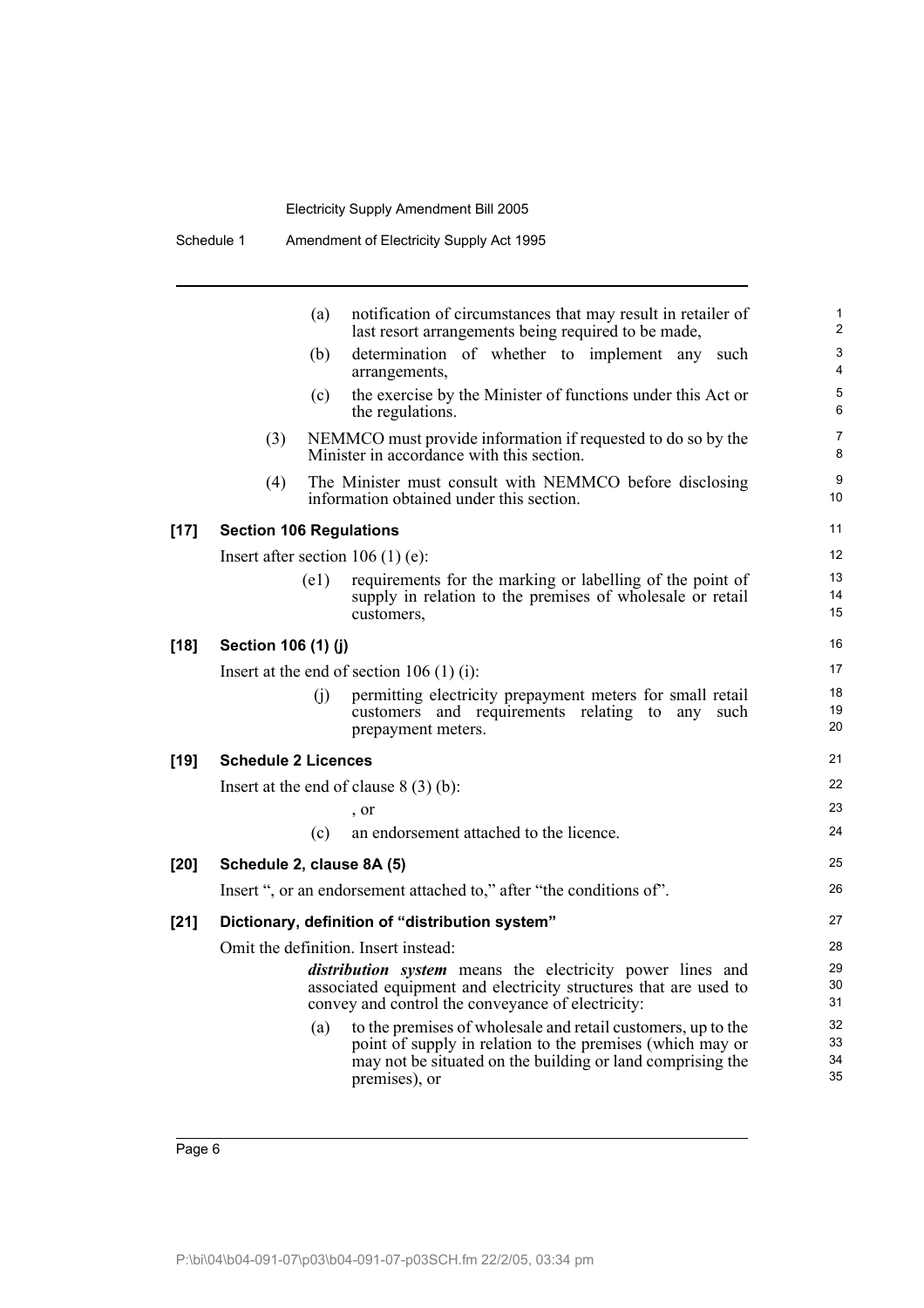|      |                                | (a)  | notification of circumstances that may result in retailer of<br>last resort arrangements being required to be made,                  | $\mathbf{1}$<br>$\overline{2}$ |
|------|--------------------------------|------|--------------------------------------------------------------------------------------------------------------------------------------|--------------------------------|
|      |                                | (b)  | determination of whether to implement any such<br>arrangements,                                                                      | 3<br>4                         |
|      |                                | (c)  | the exercise by the Minister of functions under this Act or<br>the regulations.                                                      | 5<br>$\,6\,$                   |
|      | (3)                            |      | NEMMCO must provide information if requested to do so by the<br>Minister in accordance with this section.                            | $\overline{7}$<br>8            |
|      | (4)                            |      | The Minister must consult with NEMMCO before disclosing<br>information obtained under this section.                                  | 9<br>10                        |
| [17] | <b>Section 106 Regulations</b> |      |                                                                                                                                      | 11                             |
|      |                                |      | Insert after section $106(1)(e)$ :                                                                                                   | 12                             |
|      |                                | (e1) | requirements for the marking or labelling of the point of<br>supply in relation to the premises of wholesale or retail<br>customers, | 13<br>14<br>15                 |
|      |                                |      |                                                                                                                                      | 16                             |
| [18] | Section 106 (1) (j)            |      | Insert at the end of section $106(1)(i)$ :                                                                                           | 17                             |
|      |                                | (j)  | permitting electricity prepayment meters for small retail                                                                            | 18                             |
|      |                                |      | customers and requirements relating to<br>any<br>such<br>prepayment meters.                                                          | 19<br>20                       |
| [19] | <b>Schedule 2 Licences</b>     |      |                                                                                                                                      | 21                             |
|      |                                |      | Insert at the end of clause $8(3)(b)$ :                                                                                              | 22                             |
|      |                                |      | , or                                                                                                                                 | 23                             |
|      |                                | (c)  | an endorsement attached to the licence.                                                                                              | 24                             |
| [20] | Schedule 2, clause 8A (5)      |      |                                                                                                                                      | 25                             |
|      |                                |      | Insert ", or an endorsement attached to," after "the conditions of".                                                                 | 26                             |
| [21] |                                |      | Dictionary, definition of "distribution system"                                                                                      | 27                             |
|      |                                |      | Omit the definition. Insert instead:                                                                                                 | 28                             |
|      |                                |      | distribution system means the electricity power lines and                                                                            | 29                             |
|      |                                |      | associated equipment and electricity structures that are used to<br>convey and control the conveyance of electricity:                | 30<br>31                       |
|      |                                | (a)  | to the premises of wholesale and retail customers, up to the                                                                         | 32                             |
|      |                                |      | point of supply in relation to the premises (which may or                                                                            | 33                             |
|      |                                |      | may not be situated on the building or land comprising the<br>premises), or                                                          | 34<br>35                       |
|      |                                |      |                                                                                                                                      |                                |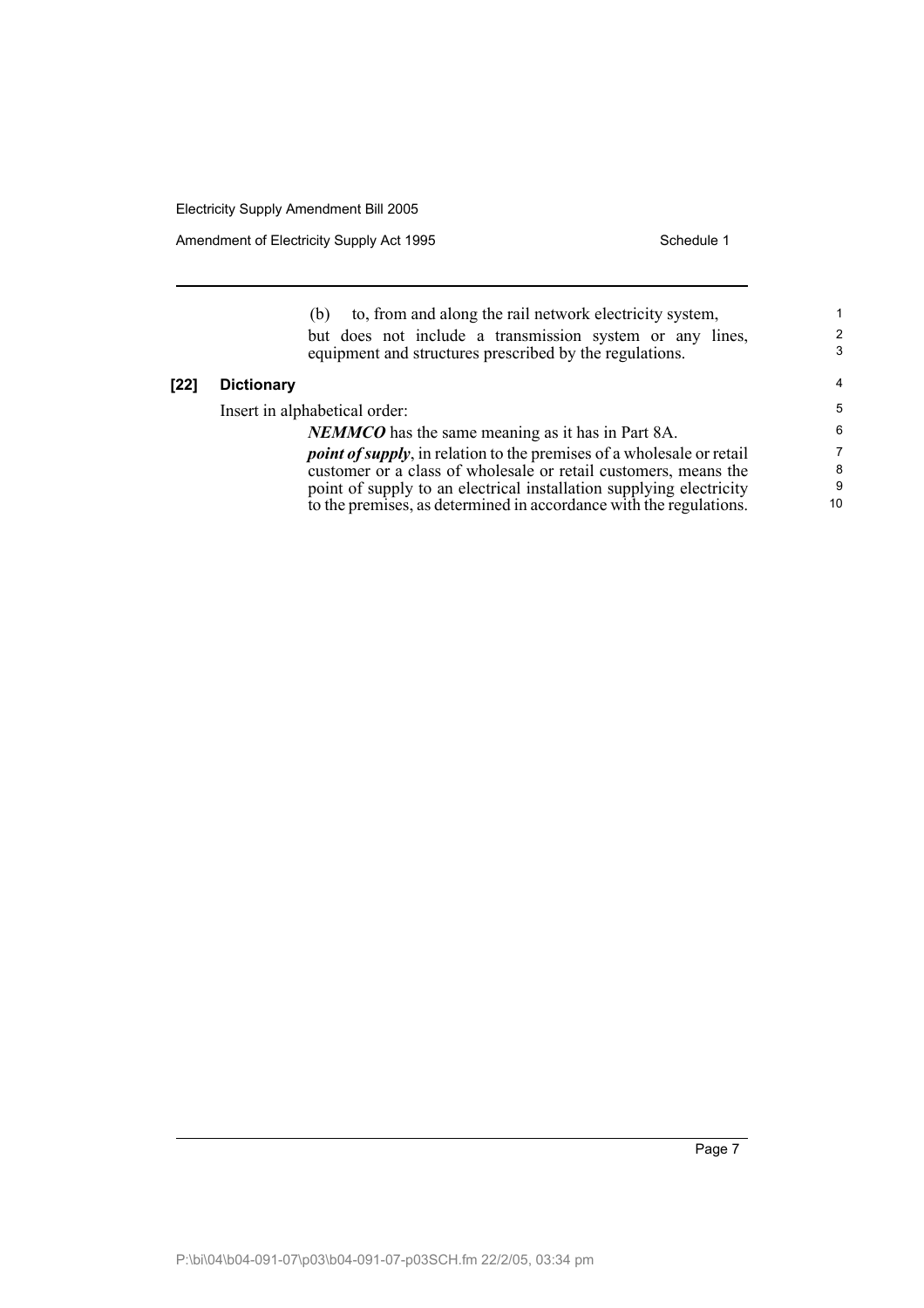Amendment of Electricity Supply Act 1995 Schedule 1

|      | to, from and along the rail network electricity system,<br>(b)                                                      |                |  |  |  |  |  |
|------|---------------------------------------------------------------------------------------------------------------------|----------------|--|--|--|--|--|
|      | but does not include a transmission system or any lines,<br>equipment and structures prescribed by the regulations. | 2<br>3         |  |  |  |  |  |
| [22] | <b>Dictionary</b>                                                                                                   | $\overline{4}$ |  |  |  |  |  |
|      | Insert in alphabetical order:                                                                                       |                |  |  |  |  |  |
|      | <b>NEMMCO</b> has the same meaning as it has in Part 8A.                                                            |                |  |  |  |  |  |
|      | <i>point of supply</i> , in relation to the premises of a wholesale or retail                                       | 7              |  |  |  |  |  |
|      | customer or a class of wholesale or retail customers, means the                                                     | 8              |  |  |  |  |  |
|      | point of supply to an electrical installation supplying electricity                                                 | 9              |  |  |  |  |  |
|      | to the premises, as determined in accordance with the regulations.                                                  | 10             |  |  |  |  |  |